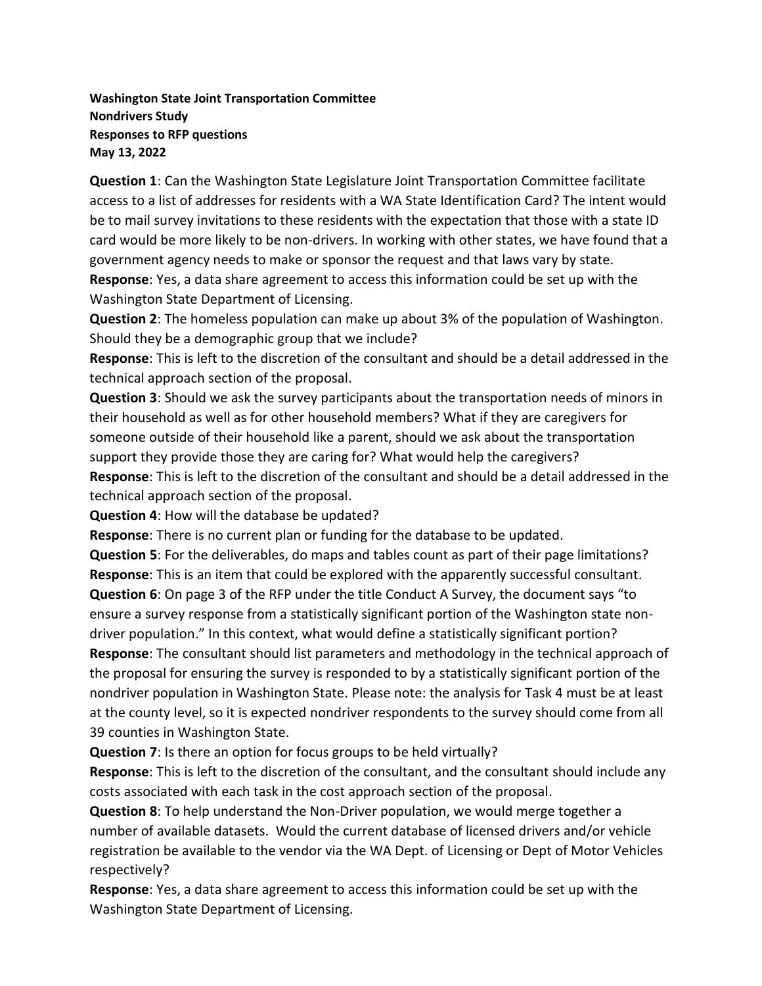**Washington State Joint Transportation Committee Nondrivers Study Responses to RFP questions May 13, 2022**

**Question 1**: Can the Washington State Legislature Joint Transportation Committee facilitate access to a list of addresses for residents with a WA State Identification Card? The intent would be to mail survey invitations to these residents with the expectation that those with a state ID card would be more likely to be non-drivers. In working with other states, we have found that a government agency needs to make or sponsor the request and that laws vary by state.

**Response**: Yes, a data share agreement to access this information could be set up with the Washington State Department of Licensing.

**Question 2**: The homeless population can make up about 3% of the population of Washington. Should they be a demographic group that we include?

**Response**: This is left to the discretion of the consultant and should be a detail addressed in the technical approach section of the proposal.

**Question 3**: Should we ask the survey participants about the transportation needs of minors in their household as well as for other household members? What if they are caregivers for someone outside of their household like a parent, should we ask about the transportation support they provide those they are caring for? What would help the caregivers? **Response**: This is left to the discretion of the consultant and should be a detail addressed in the technical approach section of the proposal.

**Question 4**: How will the database be updated?

**Response**: There is no current plan or funding for the database to be updated.

**Question 5**: For the deliverables, do maps and tables count as part of their page limitations? **Response**: This is an item that could be explored with the apparently successful consultant. **Question 6**: On page 3 of the RFP under the title Conduct A Survey, the document says "to ensure a survey response from a statistically significant portion of the Washington state nondriver population." In this context, what would define a statistically significant portion? **Response**: The consultant should list parameters and methodology in the technical approach of the proposal for ensuring the survey is responded to by a statistically significant portion of the nondriver population in Washington State. Please note: the analysis for Task 4 must be at least at the county level, so it is expected nondriver respondents to the survey should come from all

39 counties in Washington State.

**Question 7**: Is there an option for focus groups to be held virtually?

**Response**: This is left to the discretion of the consultant, and the consultant should include any costs associated with each task in the cost approach section of the proposal.

**Question 8**: To help understand the Non-Driver population, we would merge together a number of available datasets. Would the current database of licensed drivers and/or vehicle registration be available to the vendor via the WA Dept. of Licensing or Dept of Motor Vehicles respectively?

**Response**: Yes, a data share agreement to access this information could be set up with the Washington State Department of Licensing.